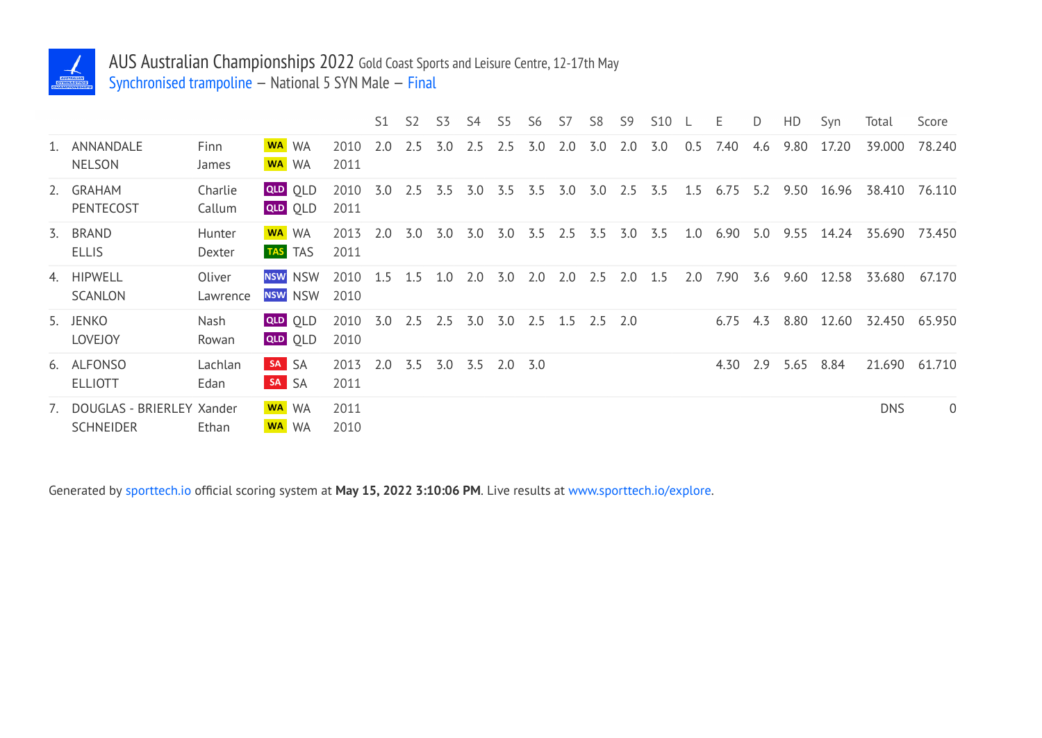

## AUS Australian Championships 2022 Gold Coast Sports and Leisure Centre, 12-17th May Synchronised trampoline — National 5 SYN Male — Final

|                                                  |                    |                                  |              | S1  | S <sub>2</sub> | S <sub>3</sub> | S4  | S5  | S6  | S7  | S <sub>8</sub> | S <sub>9</sub> | <b>S10</b> |     | E    | D   | HD   | Syn   | Total      | Score          |
|--------------------------------------------------|--------------------|----------------------------------|--------------|-----|----------------|----------------|-----|-----|-----|-----|----------------|----------------|------------|-----|------|-----|------|-------|------------|----------------|
| 1. ANNANDALE<br><b>NELSON</b>                    | Finn<br>James      | WA WA<br>WA WA                   | 2010<br>2011 | 2.0 | 2.5            | 3.0            | 2.5 | 2.5 | 3.0 | 2.0 | 3.0            | 2.0            | 3.0        | 0.5 | 7.40 | 4.6 | 9.80 | 17.20 | 39.000     | 78.240         |
| 2. GRAHAM<br>PENTECOST                           | Charlie<br>Callum  | <b>QLD</b> OLD<br><b>QLD</b> QLD | 2010<br>2011 | 3.0 | 2.5            | 3.5            | 3.0 | 3.5 | 3.5 | 3.0 | 3.0            | 2.5            | 3.5        | 1.5 | 6.75 | 5.2 | 9.50 | 16.96 | 38.410     | 76.110         |
| 3. BRAND<br><b>ELLIS</b>                         | Hunter<br>Dexter   | WA WA<br>TAS TAS                 | 2013<br>2011 | 2.0 | 3.0            | 3.0            | 3.0 | 3.0 | 3.5 | 2.5 | 3.5            | 3.0            | 3.5        | 1.0 | 6.90 | 5.0 | 9.55 | 14.24 | 35.690     | 73.450         |
| 4. HIPWELL<br><b>SCANLON</b>                     | Oliver<br>Lawrence | <b>NSW NSW</b><br><b>NSW NSW</b> | 2010<br>2010 | 1.5 | 1.5            | 1.0            | 2.0 | 3.0 | 2.0 | 2.0 | 2.5            | 2.0            | 1.5        | 2.0 | 7.90 | 3.6 | 9.60 | 12.58 | 33.680     | 67.170         |
| 5. JENKO<br><b>LOVEJOY</b>                       | Nash<br>Rowan      | QLD OLD<br>QLD OLD               | 2010<br>2010 | 3.0 | 2.5            | 2.5            | 3.0 | 3.0 | 2.5 | 1.5 | 2.5 2.0        |                |            |     | 6.75 | 4.3 | 8.80 | 12.60 | 32.450     | 65.950         |
| 6. ALFONSO<br><b>ELLIOTT</b>                     | Lachlan<br>Edan    | SA SA<br>SA SA                   | 2013<br>2011 | 2.0 | 3.5            | 3.0            | 3.5 | 2.0 | 3.0 |     |                |                |            |     | 4.30 | 2.9 | 5.65 | 8.84  | 21.690     | 61.710         |
| 7. DOUGLAS - BRIERLEY Xander<br><b>SCHNEIDER</b> | Ethan              | WA WA<br>WA WA                   | 2011<br>2010 |     |                |                |     |     |     |     |                |                |            |     |      |     |      |       | <b>DNS</b> | $\overline{0}$ |

Generated by sporttech.io official scoring system at **May 15, 2022 3:10:06 PM**. Live results at www.sporttech.io/explore.